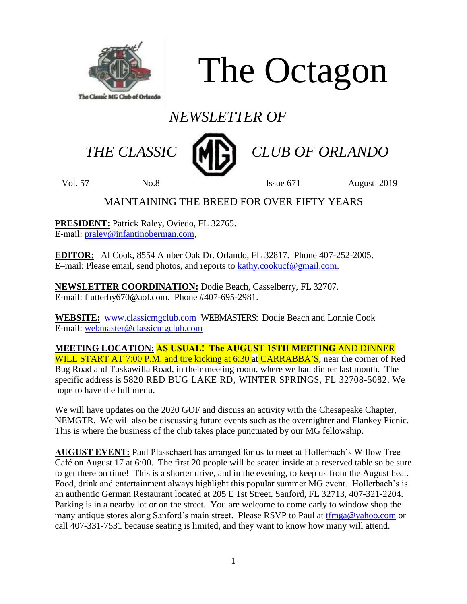

The Octagon

# *NEWSLETTER OF*



 *THE CLASSIC CLUB OF ORLANDO*

Vol. 57 No.8 Issue 671 August 2019

# MAINTAINING THE BREED FOR OVER FIFTY YEARS

**PRESIDENT:** Patrick Raley, Oviedo, FL 32765. E-mail: [praley@infantinoberman.com,](mailto:praley@infantinoberman.com)

**EDITOR:** Al Cook, 8554 Amber Oak Dr. Orlando, FL 32817. Phone 407-252-2005. E–mail: Please email, send photos, and reports to [kathy.cookucf@gmail.com.](mailto:kathy.cookucf@gmail.com)

**NEWSLETTER COORDINATION:** Dodie Beach, Casselberry, FL 32707. E-mail: flutterby670@aol.com. Phone #407-695-2981.

**WEBSITE:** [www.classicmgclub.com](http://www.classicmgclub.com/) WEBMASTERS: Dodie Beach and Lonnie Cook E-mail: [webmaster@classicmgclub.com](mailto:webmaster@classicmgclub.com)

**MEETING LOCATION: AS USUAL! The AUGUST 15TH MEETING** AND DINNER WILL START AT 7:00 P.M. and tire kicking at 6:30 at CARRABBA'S, near the corner of Red Bug Road and Tuskawilla Road, in their meeting room, where we had dinner last month. The specific address is 5820 RED BUG LAKE RD, WINTER SPRINGS, FL 32708-5082. We hope to have the full menu.

We will have updates on the 2020 GOF and discuss an activity with the Chesapeake Chapter, NEMGTR. We will also be discussing future events such as the overnighter and Flankey Picnic. This is where the business of the club takes place punctuated by our MG fellowship.

**AUGUST EVENT:** Paul Plasschaert has arranged for us to meet at Hollerbach's Willow Tree Café on August 17 at 6:00. The first 20 people will be seated inside at a reserved table so be sure to get there on time! This is a shorter drive, and in the evening, to keep us from the August heat. Food, drink and entertainment always highlight this popular summer MG event. Hollerbach's is an authentic German Restaurant located at 205 E 1st Street, Sanford, FL 32713, 407-321-2204. Parking is in a nearby lot or on the street. You are welcome to come early to window shop the many antique stores along Sanford's main street. Please RSVP to Paul at  $tfmga@yahoo.com$  or call 407-331-7531 because seating is limited, and they want to know how many will attend.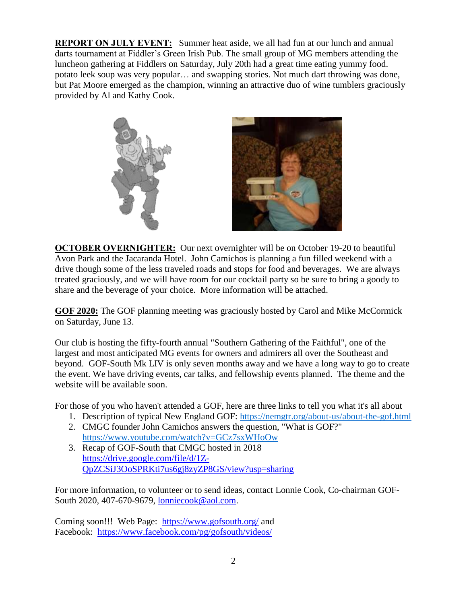**REPORT ON JULY EVENT:** Summer heat aside, we all had fun at our lunch and annual darts tournament at Fiddler's Green Irish Pub. The small group of MG members attending the luncheon gathering at Fiddlers on Saturday, July 20th had a great time eating yummy food. potato leek soup was very popular… and swapping stories. Not much dart throwing was done, but Pat Moore emerged as the champion, winning an attractive duo of wine tumblers graciously provided by Al and Kathy Cook.





**OCTOBER OVERNIGHTER:** Our next overnighter will be on October 19-20 to beautiful Avon Park and the Jacaranda Hotel. John Camichos is planning a fun filled weekend with a drive though some of the less traveled roads and stops for food and beverages. We are always treated graciously, and we will have room for our cocktail party so be sure to bring a goody to share and the beverage of your choice. More information will be attached.

**GOF 2020:** The GOF planning meeting was graciously hosted by Carol and Mike McCormick on Saturday, June 13.

Our club is hosting the fifty-fourth annual "Southern Gathering of the Faithful", one of the largest and most anticipated MG events for owners and admirers all over the Southeast and beyond. GOF-South Mk LIV is only seven months away and we have a long way to go to create the event. We have driving events, car talks, and fellowship events planned. The theme and the website will be available soon.

For those of you who haven't attended a GOF, here are three links to tell you what it's all about

- 1. Description of typical New England GOF:<https://nemgtr.org/about-us/about-the-gof.html>
- 2. CMGC founder John Camichos answers the question, "What is GOF?" <https://www.youtube.com/watch?v=GCz7sxWHoOw>
- 3. Recap of GOF-South that CMGC hosted in 2018 [https://drive.google.com/file/d/1Z-](https://drive.google.com/file/d/1Z-QpZCSiJ3OoSPRKti7us6gj8zyZP8GS/view?usp=sharing)[QpZCSiJ3OoSPRKti7us6gj8zyZP8GS/view?usp=sharing](https://drive.google.com/file/d/1Z-QpZCSiJ3OoSPRKti7us6gj8zyZP8GS/view?usp=sharing)

For more information, to volunteer or to send ideas, contact Lonnie Cook, Co-chairman GOF-South 2020, 407-670-9679, [lonniecook@aol.com.](mailto:lonniecook@aol.com)

Coming soon!!! Web Page: <https://www.gofsouth.org/> and Facebook: <https://www.facebook.com/pg/gofsouth/videos/>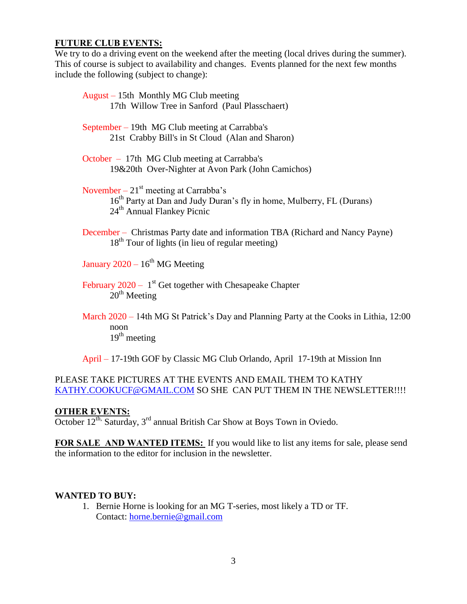#### **FUTURE CLUB EVENTS:**

We try to do a driving event on the weekend after the meeting (local drives during the summer). This of course is subject to availability and changes. Events planned for the next few months include the following (subject to change):

| August – 15th Monthly MG Club meeting<br>17th Willow Tree in Sanford (Paul Plasschaert)                                                                                |
|------------------------------------------------------------------------------------------------------------------------------------------------------------------------|
| September – 19th MG Club meeting at Carrabba's<br>21st Crabby Bill's in St Cloud (Alan and Sharon)                                                                     |
| October – 17th MG Club meeting at Carrabba's<br>19&20th Over-Nighter at Avon Park (John Camichos)                                                                      |
| November – $21st$ meeting at Carrabba's<br>16 <sup>th</sup> Party at Dan and Judy Duran's fly in home, Mulberry, FL (Durans)<br>24 <sup>th</sup> Annual Flankey Picnic |
| December – Christmas Party date and information TBA (Richard and Nancy Payne)<br>$18th$ Tour of lights (in lieu of regular meeting)                                    |
| January $2020 - 16$ <sup>th</sup> MG Meeting                                                                                                                           |
| February 2020 – $1st$ Get together with Chesapeake Chapter<br>$20th$ Meeting                                                                                           |
| March 2020 – 14th MG St Patrick's Day and Planning Party at the Cooks in Lithia, 12:00<br>noon<br>$19th$ meeting                                                       |

April – 17-19th GOF by Classic MG Club Orlando, April 17-19th at Mission Inn

### PLEASE TAKE PICTURES AT THE EVENTS AND EMAIL THEM TO KATHY [KATHY.COOKUCF@GMAIL.COM](mailto:Kathy.cookucf@gmail.com) SO SHE CAN PUT THEM IN THE NEWSLETTER!!!!

## **OTHER EVENTS:**

October  $12^{th}$ , Saturday,  $3^{rd}$  annual British Car Show at Boys Town in Oviedo.

**FOR SALE AND WANTED ITEMS:** If you would like to list any items for sale, please send the information to the editor for inclusion in the newsletter.

#### **WANTED TO BUY:**

1. Bernie Horne is looking for an MG T-series, most likely a TD or TF. Contact: [horne.bernie@gmail.com](mailto:horne.bernie@gmail.com)